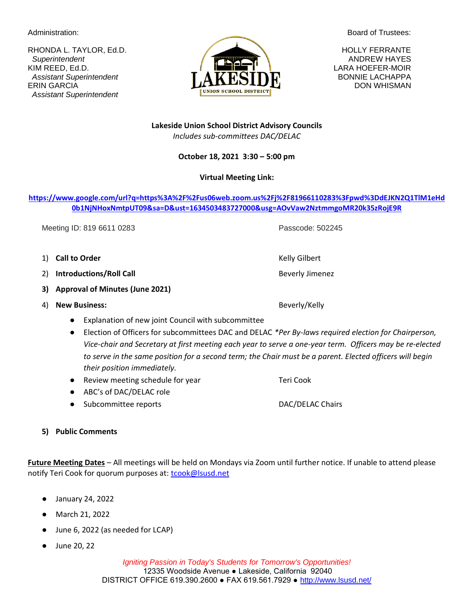RHONDA L. TAYLOR, Ed.D. **HOLLY FERRANTE** KIM REED, Ed.D. LARA HOEFER-MOIR ERIN GARCIA DON WHISMAN DON WHISMAN  *Assistant Superintendent*

> **Lakeside Union School District Advisory Councils** *Includes sub-committees DAC/DELAC*

# **October 18, 2021 3:30 – 5:00 pm**

# **Virtual Meeting Link:**

# **[https://www.google.com/url?q=https%3A%2F%2Fus06web.zoom.us%2Fj%2F81966110283%3Fpwd%3DdEJKN2Q1TlM1eHd](https://www.google.com/url?q=https%3A%2F%2Fus06web.zoom.us%2Fj%2F81966110283%3Fpwd%3DdEJKN2Q1TlM1eHd0b1NjNHoxNmtpUT09&sa=D&ust=1634503483727000&usg=AOvVaw2NztmmgoMR20k35zRojE9R) [0b1NjNHoxNmtpUT09&sa=D&ust=1634503483727000&usg=AOvVaw2NztmmgoMR20k35zRojE9R](https://www.google.com/url?q=https%3A%2F%2Fus06web.zoom.us%2Fj%2F81966110283%3Fpwd%3DdEJKN2Q1TlM1eHd0b1NjNHoxNmtpUT09&sa=D&ust=1634503483727000&usg=AOvVaw2NztmmgoMR20k35zRojE9R)**

Meeting ID: 819 6611 0283 **Passcode: 502245** 

- 1) **Call to Order Call to Order Call to Order Kelly Gilbert**
- 2) **Introductions/Roll Call Beverly Jimenez Beverly Jimenez**
- **3) Approval of Minutes (June 2021)**
- 4) **New Business:** Beverly/Kelly
	- Explanation of new joint Council with subcommittee
	- Election of Officers for subcommittees DAC and DELAC *\*Per By-laws required election for Chairperson, Vice-chair and Secretary at first meeting each year to serve a one-year term. Officers may be re-elected to serve in the same position for a second term; the Chair must be a parent. Elected officers will begin their position immediately.*
	- Review meeting schedule for year Teri Cook
	- ABC's of DAC/DELAC role
	- Subcommittee reports DAC/DELAC Chairs
- **5) Public Comments**

**Future Meeting Dates** – All meetings will be held on Mondays via Zoom until further notice. If unable to attend please notify Teri Cook for quorum purposes at: [tcook@lsusd.net](mailto:tcook@lsusd.net)

- January 24, 2022
- March 21, 2022
- June 6, 2022 (as needed for LCAP)
- June 20, 22



Administration: **Board of Trustees:** Administration: